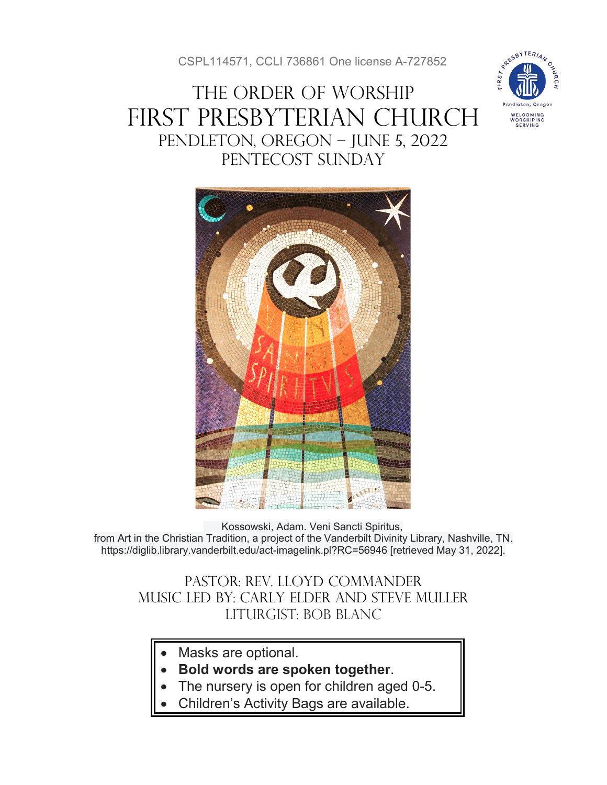CSPL114571, CCLI 736861 One license A-727852

# THE ORDER OF WORSHIP FIRST PRESBYTERIAN CHURCH PENDLETON, OREGON – JUNE 5, 2022 PENTECOST SUNDAY





Kossowski, Adam. Veni Sancti Spiritus, from Art in the Christian Tradition, a project of the Vanderbilt Divinity Library, Nashville, TN. https://diglib.library.vanderbilt.edu/act-imagelink.pl?RC=56946 [retrieved May 31, 2022].

Pastor: Rev. Lloyd Commander Music Led by: Carly Elder and Steve muller Liturgist: Bob Blanc

- Masks are optional.
- **Bold words are spoken together**.
- The nursery is open for children aged 0-5.
- Children's Activity Bags are available.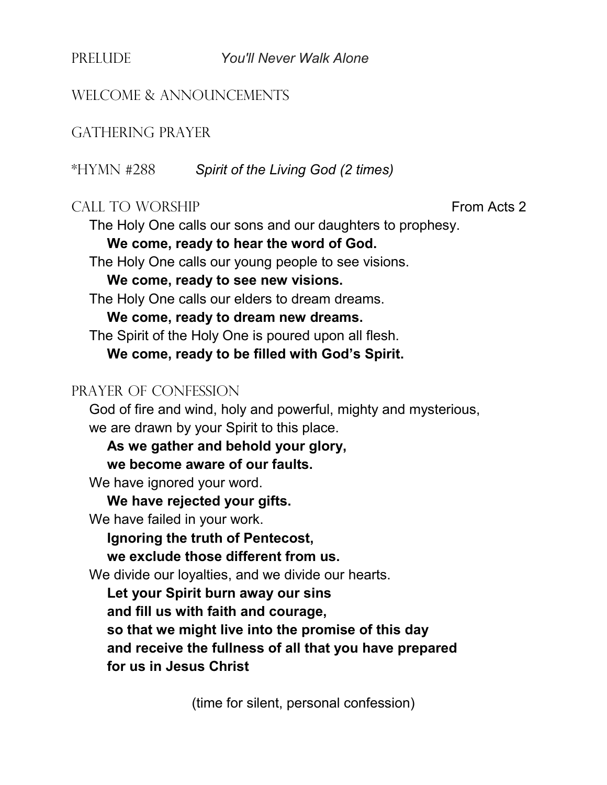PRELUDE *You'll Never Walk Alone*

#### WELCOME & ANNOUNCEMENTS

#### GATHERING PRAYER

\*HYMN #288 *Spirit of the Living God (2 times)*

#### CALL TO WORSHIP **From Acts 2**

The Holy One calls our sons and our daughters to prophesy.

#### **We come, ready to hear the word of God.**

The Holy One calls our young people to see visions.

**We come, ready to see new visions.**

The Holy One calls our elders to dream dreams.

**We come, ready to dream new dreams.**

The Spirit of the Holy One is poured upon all flesh.

**We come, ready to be filled with God's Spirit.**

#### PRAYER OF CONFESSION

God of fire and wind, holy and powerful, mighty and mysterious, we are drawn by your Spirit to this place.

**As we gather and behold your glory,** 

**we become aware of our faults.**

We have ignored your word.

**We have rejected your gifts.**

We have failed in your work.

**Ignoring the truth of Pentecost,** 

**we exclude those different from us.**

We divide our loyalties, and we divide our hearts.

**Let your Spirit burn away our sins** 

**and fill us with faith and courage,** 

**so that we might live into the promise of this day and receive the fullness of all that you have prepared for us in Jesus Christ**

(time for silent, personal confession)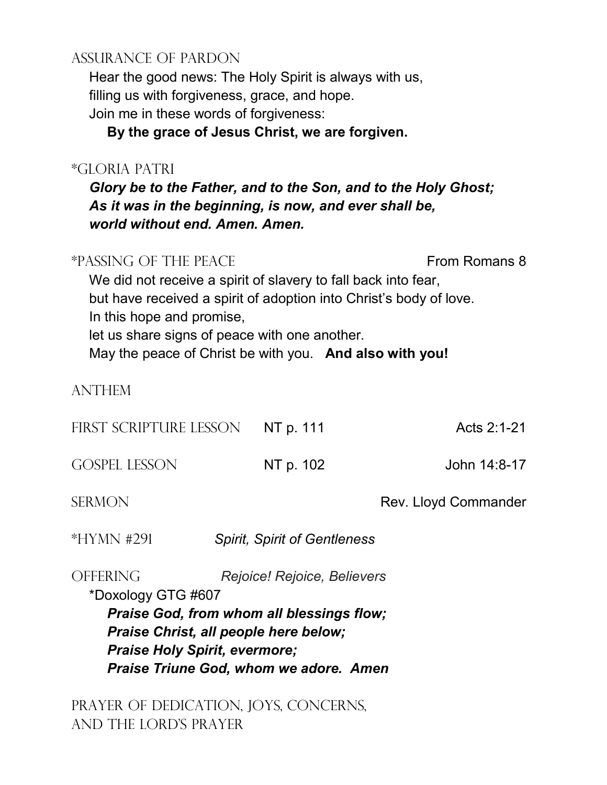## ASSURANCE OF PARDON

Hear the good news: The Holy Spirit is always with us, filling us with forgiveness, grace, and hope.

Join me in these words of forgiveness:

**By the grace of Jesus Christ, we are forgiven.**

### \*GLORIA PATRI

*Glory be to the Father, and to the Son, and to the Holy Ghost; As it was in the beginning, is now, and ever shall be, world without end. Amen. Amen.*

| *PASSING OF THE PEACE<br>From Romans 8<br>We did not receive a spirit of slavery to fall back into fear,<br>but have received a spirit of adoption into Christ's body of love.<br>In this hope and promise,<br>let us share signs of peace with one another.<br>May the peace of Christ be with you. And also with you! |                                     |                             |  |
|-------------------------------------------------------------------------------------------------------------------------------------------------------------------------------------------------------------------------------------------------------------------------------------------------------------------------|-------------------------------------|-----------------------------|--|
| <b>ANTHEM</b>                                                                                                                                                                                                                                                                                                           |                                     |                             |  |
| FIRST SCRIPTURE LESSON                                                                                                                                                                                                                                                                                                  | NT p. 111                           | Acts 2:1-21                 |  |
| <b>GOSPEL LESSON</b>                                                                                                                                                                                                                                                                                                    | NT p. 102                           | John 14:8-17                |  |
| <b>SERMON</b>                                                                                                                                                                                                                                                                                                           |                                     | <b>Rev. Lloyd Commander</b> |  |
| *HYMN #291                                                                                                                                                                                                                                                                                                              | <b>Spirit, Spirit of Gentleness</b> |                             |  |
| <b>OFFERING</b><br>Rejoice! Rejoice, Believers<br>*Doxology GTG #607<br><b>Praise God, from whom all blessings flow;</b><br>Praise Christ, all people here below;<br><b>Praise Holy Spirit, evermore;</b><br>Praise Triune God, whom we adore. Amen                                                                     |                                     |                             |  |

PRAYER OF DEDICATION, JOYS, CONCERNS, AND THE LORD'S PRAYER